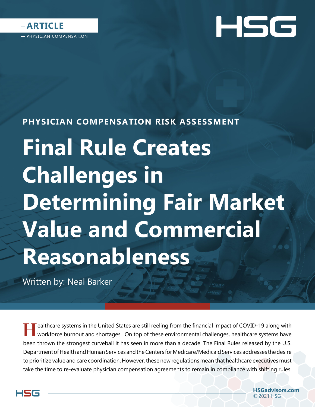



# **PHYSICIAN COMPENSATION RISK ASSESSMENT**

# **Final Rule Creates Challenges in Determining Fair Market Value and Commercial Reasonableness**

Written by: Neal Barker

**Harace Systems in the United States are still reeling from the financial impact of COVID-19 along with workforce burnout and shortages. On top of these environmental challenges, healthcare systems have** been thrown the strongest curveball it has seen in more than a decade. The Final Rules released by the U.S. Department of Health and Human Services and the Centers for Medicare/Medicaid Services addresses the desire to prioritize value and care coordination. However, these new regulations mean that healthcare executives must take the time to re-evaluate physician compensation agreements to remain in compliance with shifting rules.

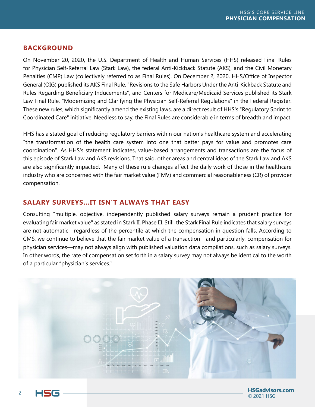# **BACKGROUND**

On November 20, 2020, the U.S. Department of Health and Human Services (HHS) released Final Rules for Physician Self-Referral Law (Stark Law), the federal Anti-Kickback Statute (AKS), and the Civil Monetary Penalties (CMP) Law (collectively referred to as Final Rules). On December 2, 2020, HHS/Office of Inspector General (OIG) published its AKS Final Rule, "Revisions to the Safe Harbors Under the Anti-Kickback Statute and Rules Regarding Beneficiary Inducements", and Centers for Medicare/Medicaid Services published its Stark Law Final Rule, "Modernizing and Clarifying the Physician Self-Referral Regulations" in the Federal Register. These new rules, which significantly amend the existing laws, are a direct result of HHS's "Regulatory Sprint to Coordinated Care" initiative. Needless to say, the Final Rules are considerable in terms of breadth and impact.

HHS has a stated goal of reducing regulatory barriers within our nation's healthcare system and accelerating "the transformation of the health care system into one that better pays for value and promotes care coordination". As HHS's statement indicates, value-based arrangements and transactions are the focus of this episode of Stark Law and AKS revisions. That said, other areas and central ideas of the Stark Law and AKS are also significantly impacted. Many of these rule changes affect the daily work of those in the healthcare industry who are concerned with the fair market value (FMV) and commercial reasonableness (CR) of provider compensation.

#### **SALARY SURVEYS…IT ISN'T ALWAYS THAT EASY**

Consulting "multiple, objective, independently published salary surveys remain a prudent practice for evaluating fair market value" as stated in Stark II, Phase III. Still, the Stark Final Rule indicates that salary surveys are not automatic—regardless of the percentile at which the compensation in question falls. According to CMS, we continue to believe that the fair market value of a transaction—and particularly, compensation for physician services—may not always align with published valuation data compilations, such as salary surveys. In other words, the rate of compensation set forth in a salary survey may not always be identical to the worth of a particular "physician's services."



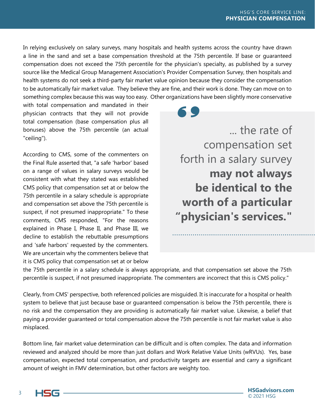In relying exclusively on salary surveys, many hospitals and health systems across the country have drawn a line in the sand and set a base compensation threshold at the 75th percentile. If base or guaranteed compensation does not exceed the 75th percentile for the physician's specialty, as published by a survey source like the Medical Group Management Association's Provider Compensation Survey, then hospitals and health systems do not seek a third-party fair market value opinion because they consider the compensation to be automatically fair market value. They believe they are fine, and their work is done. They can move on to something complex because this was way too easy. Other organizations have been slightly more conservative

with total compensation and mandated in their physician contracts that they will not provide total compensation (base compensation plus all bonuses) above the 75th percentile (an actual "ceiling").

According to CMS, some of the commenters on the Final Rule asserted that, "a safe 'harbor' based on a range of values in salary surveys would be consistent with what they stated was established CMS policy that compensation set at or below the 75th percentile in a salary schedule is appropriate and compensation set above the 75th percentile is suspect, if not presumed inappropriate." To these comments, CMS responded, "For the reasons explained in Phase I, Phase II, and Phase III, we decline to establish the rebuttable presumptions and 'safe harbors' requested by the commenters. We are uncertain why the commenters believe that it is CMS policy that compensation set at or below

... the rate of compensation set forth in a salary survey **may not always be identical to the worth of a particular "physician's services."**

the 75th percentile in a salary schedule is always appropriate, and that compensation set above the 75th percentile is suspect, if not presumed inappropriate. The commenters are incorrect that this is CMS policy."

Clearly, from CMS' perspective, both referenced policies are misguided. It is inaccurate for a hospital or health system to believe that just because base or guaranteed compensation is below the 75th percentile, there is no risk and the compensation they are providing is automatically fair market value. Likewise, a belief that paying a provider guaranteed or total compensation above the 75th percentile is not fair market value is also misplaced.

Bottom line, fair market value determination can be difficult and is often complex. The data and information reviewed and analyzed should be more than just dollars and Work Relative Value Units (wRVUs). Yes, base compensation, expected total compensation, and productivity targets are essential and carry a significant amount of weight in FMV determination, but other factors are weighty too.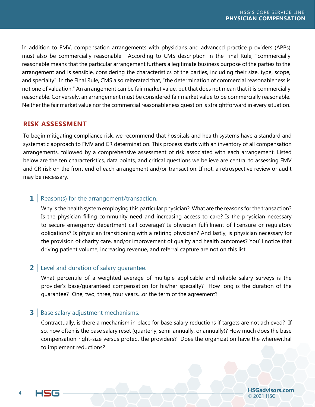In addition to FMV, compensation arrangements with physicians and advanced practice providers (APPs) must also be commercially reasonable. According to CMS description in the Final Rule, "commercially reasonable means that the particular arrangement furthers a legitimate business purpose of the parties to the arrangement and is sensible, considering the characteristics of the parties, including their size, type, scope, and specialty". In the Final Rule, CMS also reiterated that, "the determination of commercial reasonableness is not one of valuation." An arrangement can be fair market value, but that does not mean that it is commercially reasonable. Conversely, an arrangement must be considered fair market value to be commercially reasonable. Neither the fair market value nor the commercial reasonableness question is straightforward in every situation.

# **RISK ASSESSMENT**

To begin mitigating compliance risk, we recommend that hospitals and health systems have a standard and systematic approach to FMV and CR determination. This process starts with an inventory of all compensation arrangements, followed by a comprehensive assessment of risk associated with each arrangement. Listed below are the ten characteristics, data points, and critical questions we believe are central to assessing FMV and CR risk on the front end of each arrangement and/or transaction. If not, a retrospective review or audit may be necessary.

# **1** Reason(s) for the arrangement/transaction.

Why is the health system employing this particular physician? What are the reasons for the transaction? Is the physician filling community need and increasing access to care? Is the physician necessary to secure emergency department call coverage? Is physician fulfillment of licensure or regulatory obligations? Is physician transitioning with a retiring physician? And lastly, is physician necessary for the provision of charity care, and/or improvement of quality and health outcomes? You'll notice that driving patient volume, increasing revenue, and referral capture are not on this list.

#### **2** Level and duration of salary guarantee.

What percentile of a weighted average of multiple applicable and reliable salary surveys is the provider's base/guaranteed compensation for his/her specialty? How long is the duration of the guarantee? One, two, three, four years…or the term of the agreement?

#### **3** Base salary adjustment mechanisms.

Contractually, is there a mechanism in place for base salary reductions if targets are not achieved? If so, how often is the base salary reset (quarterly, semi-annually, or annually)? How much does the base compensation right-size versus protect the providers? Does the organization have the wherewithal to implement reductions?

**HSGadvisors.com**<br>© 2021 HSG **ENSG Example 2021 HSG**  $\overline{O(2021 \text{ HSG})}$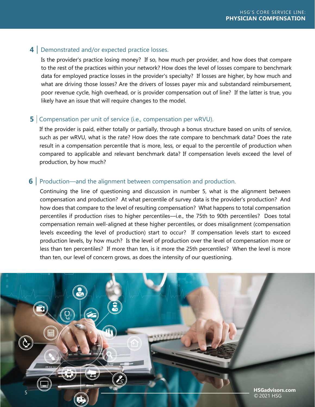# **4** Demonstrated and/or expected practice losses.

Is the provider's practice losing money? If so, how much per provider, and how does that compare to the rest of the practices within your network? How does the level of losses compare to benchmark data for employed practice losses in the provider's specialty? If losses are higher, by how much and what are driving those losses? Are the drivers of losses payer mix and substandard reimbursement, poor revenue cycle, high overhead, or is provider compensation out of line? If the latter is true, you likely have an issue that will require changes to the model.

# **5** Compensation per unit of service (i.e., compensation per wRVU).

If the provider is paid, either totally or partially, through a bonus structure based on units of service, such as per wRVU, what is the rate? How does the rate compare to benchmark data? Does the rate result in a compensation percentile that is more, less, or equal to the percentile of production when compared to applicable and relevant benchmark data? If compensation levels exceed the level of production, by how much?

# **6** Production—and the alignment between compensation and production.

Continuing the line of questioning and discussion in number 5, what is the alignment between compensation and production? At what percentile of survey data is the provider's production? And how does that compare to the level of resulting compensation? What happens to total compensation percentiles if production rises to higher percentiles—i.e., the 75th to 90th percentiles? Does total compensation remain well-aligned at these higher percentiles, or does misalignment (compensation levels exceeding the level of production) start to occur? If compensation levels start to exceed production levels, by how much? Is the level of production over the level of compensation more or less than ten percentiles? If more than ten, is it more the 25th percentiles? When the level is more than ten, our level of concern grows, as does the intensity of our questioning.

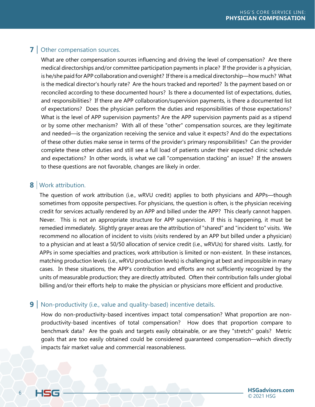# **7** Other compensation sources.

What are other compensation sources influencing and driving the level of compensation? Are there medical directorships and/or committee participation payments in place? If the provider is a physician, is he/she paid for APP collaboration and oversight? If there is a medical directorship—how much? What is the medical director's hourly rate? Are the hours tracked and reported? Is the payment based on or reconciled according to these documented hours? Is there a documented list of expectations, duties, and responsibilities? If there are APP collaboration/supervision payments, is there a documented list of expectations? Does the physician perform the duties and responsibilities of those expectations? What is the level of APP supervision payments? Are the APP supervision payments paid as a stipend or by some other mechanism? With all of these "other" compensation sources, are they legitimate and needed—is the organization receiving the service and value it expects? And do the expectations of these other duties make sense in terms of the provider's primary responsibilities? Can the provider complete these other duties and still see a full load of patients under their expected clinic schedule and expectations? In other words, is what we call "compensation stacking" an issue? If the answers to these questions are not favorable, changes are likely in order.

# **8** Work attribution.

The question of work attribution (i.e., wRVU credit) applies to both physicians and APPs—though sometimes from opposite perspectives. For physicians, the question is often, is the physician receiving credit for services actually rendered by an APP and billed under the APP? This clearly cannot happen. Never. This is not an appropriate structure for APP supervision. If this is happening, it must be remedied immediately. Slightly grayer areas are the attribution of "shared" and "incident to" visits. We recommend no allocation of incident to visits (visits rendered by an APP but billed under a physician) to a physician and at least a 50/50 allocation of service credit (i.e., wRVUs) for shared visits. Lastly, for APPs in some specialties and practices, work attribution is limited or non-existent. In these instances, matching production levels (i.e., wRVU production levels) is challenging at best and impossible in many cases. In these situations, the APP's contribution and efforts are not sufficiently recognized by the units of measurable production; they are directly attributed. Often their contribution falls under global billing and/or their efforts help to make the physician or physicians more efficient and productive.

#### **9** Non-productivity (i.e., value and quality-based) incentive details.

How do non-productivity-based incentives impact total compensation? What proportion are nonproductivity-based incentives of total compensation? How does that proportion compare to benchmark data? Are the goals and targets easily obtainable, or are they "stretch" goals? Metric goals that are too easily obtained could be considered guaranteed compensation—which directly impacts fair market value and commercial reasonableness.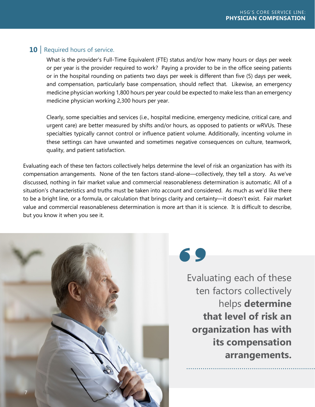# **10** Required hours of service.

What is the provider's Full-Time Equivalent (FTE) status and/or how many hours or days per week or per year is the provider required to work? Paying a provider to be in the office seeing patients or in the hospital rounding on patients two days per week is different than five (5) days per week, and compensation, particularly base compensation, should reflect that. Likewise, an emergency medicine physician working 1,800 hours per year could be expected to make less than an emergency medicine physician working 2,300 hours per year.

Clearly, some specialties and services (i.e., hospital medicine, emergency medicine, critical care, and urgent care) are better measured by shifts and/or hours, as opposed to patients or wRVUs. These specialties typically cannot control or influence patient volume. Additionally, incenting volume in these settings can have unwanted and sometimes negative consequences on culture, teamwork, quality, and patient satisfaction.

Evaluating each of these ten factors collectively helps determine the level of risk an organization has with its compensation arrangements. None of the ten factors stand-alone—collectively, they tell a story. As we've discussed, nothing in fair market value and commercial reasonableness determination is automatic. All of a situation's characteristics and truths must be taken into account and considered. As much as we'd like there to be a bright line, or a formula, or calculation that brings clarity and certainty—it doesn't exist. Fair market value and commercial reasonableness determination is more art than it is science. It is difficult to describe, but you know it when you see it.



69

Evaluating each of these ten factors collectively helps **determine that level of risk an organization has with its compensation arrangements.**